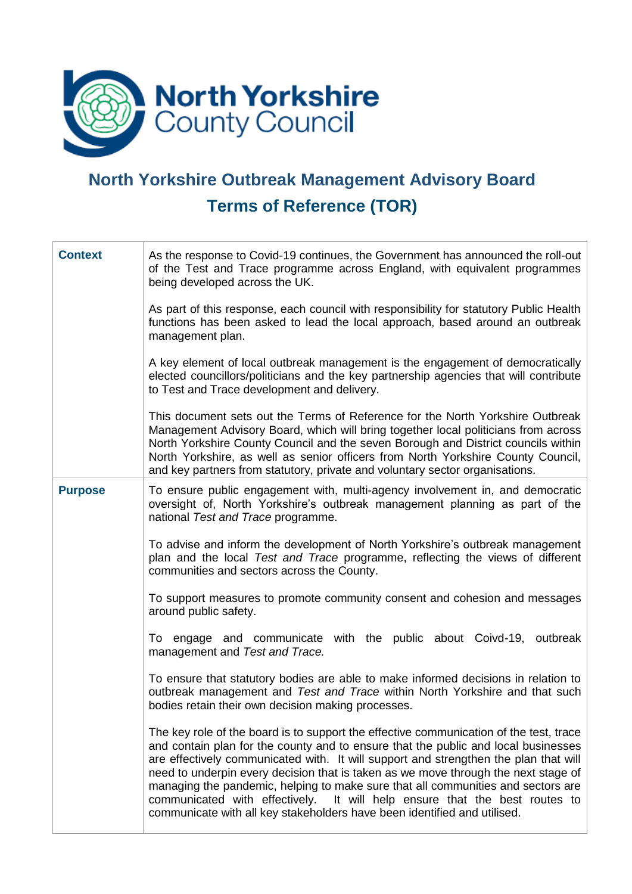

## **North Yorkshire Outbreak Management Advisory Board Terms of Reference (TOR)**

| <b>Context</b>                                                                                      | As the response to Covid-19 continues, the Government has announced the roll-out<br>of the Test and Trace programme across England, with equivalent programmes<br>being developed across the UK.                                                                                                                                                                                                                                                                                                                                                                                                         |  |  |  |
|-----------------------------------------------------------------------------------------------------|----------------------------------------------------------------------------------------------------------------------------------------------------------------------------------------------------------------------------------------------------------------------------------------------------------------------------------------------------------------------------------------------------------------------------------------------------------------------------------------------------------------------------------------------------------------------------------------------------------|--|--|--|
|                                                                                                     | As part of this response, each council with responsibility for statutory Public Health<br>functions has been asked to lead the local approach, based around an outbreak<br>management plan.                                                                                                                                                                                                                                                                                                                                                                                                              |  |  |  |
|                                                                                                     | A key element of local outbreak management is the engagement of democratically<br>elected councillors/politicians and the key partnership agencies that will contribute<br>to Test and Trace development and delivery.                                                                                                                                                                                                                                                                                                                                                                                   |  |  |  |
|                                                                                                     | This document sets out the Terms of Reference for the North Yorkshire Outbreak<br>Management Advisory Board, which will bring together local politicians from across<br>North Yorkshire County Council and the seven Borough and District councils within<br>North Yorkshire, as well as senior officers from North Yorkshire County Council,<br>and key partners from statutory, private and voluntary sector organisations.                                                                                                                                                                            |  |  |  |
| <b>Purpose</b>                                                                                      | To ensure public engagement with, multi-agency involvement in, and democratic<br>oversight of, North Yorkshire's outbreak management planning as part of the<br>national Test and Trace programme.                                                                                                                                                                                                                                                                                                                                                                                                       |  |  |  |
|                                                                                                     | To advise and inform the development of North Yorkshire's outbreak management<br>plan and the local Test and Trace programme, reflecting the views of different<br>communities and sectors across the County.                                                                                                                                                                                                                                                                                                                                                                                            |  |  |  |
| To support measures to promote community consent and cohesion and messages<br>around public safety. |                                                                                                                                                                                                                                                                                                                                                                                                                                                                                                                                                                                                          |  |  |  |
|                                                                                                     | To engage and communicate with the public about Coivd-19, outbreak<br>management and Test and Trace.                                                                                                                                                                                                                                                                                                                                                                                                                                                                                                     |  |  |  |
|                                                                                                     | To ensure that statutory bodies are able to make informed decisions in relation to<br>outbreak management and Test and Trace within North Yorkshire and that such<br>bodies retain their own decision making processes.                                                                                                                                                                                                                                                                                                                                                                                  |  |  |  |
|                                                                                                     | The key role of the board is to support the effective communication of the test, trace<br>and contain plan for the county and to ensure that the public and local businesses<br>are effectively communicated with. It will support and strengthen the plan that will<br>need to underpin every decision that is taken as we move through the next stage of<br>managing the pandemic, helping to make sure that all communities and sectors are<br>communicated with effectively. It will help ensure that the best routes to<br>communicate with all key stakeholders have been identified and utilised. |  |  |  |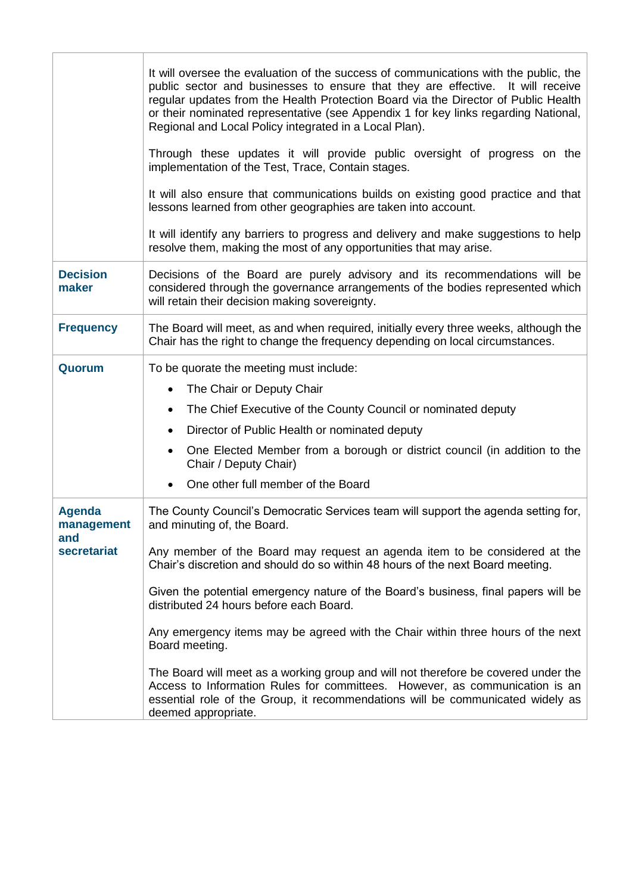|                                    | It will oversee the evaluation of the success of communications with the public, the<br>public sector and businesses to ensure that they are effective. It will receive<br>regular updates from the Health Protection Board via the Director of Public Health<br>or their nominated representative (see Appendix 1 for key links regarding National,<br>Regional and Local Policy integrated in a Local Plan).<br>Through these updates it will provide public oversight of progress on the<br>implementation of the Test, Trace, Contain stages.<br>It will also ensure that communications builds on existing good practice and that<br>lessons learned from other geographies are taken into account.<br>It will identify any barriers to progress and delivery and make suggestions to help<br>resolve them, making the most of any opportunities that may arise. |  |  |  |
|------------------------------------|-----------------------------------------------------------------------------------------------------------------------------------------------------------------------------------------------------------------------------------------------------------------------------------------------------------------------------------------------------------------------------------------------------------------------------------------------------------------------------------------------------------------------------------------------------------------------------------------------------------------------------------------------------------------------------------------------------------------------------------------------------------------------------------------------------------------------------------------------------------------------|--|--|--|
| <b>Decision</b><br>maker           | Decisions of the Board are purely advisory and its recommendations will be<br>considered through the governance arrangements of the bodies represented which<br>will retain their decision making sovereignty.                                                                                                                                                                                                                                                                                                                                                                                                                                                                                                                                                                                                                                                        |  |  |  |
| <b>Frequency</b>                   | The Board will meet, as and when required, initially every three weeks, although the<br>Chair has the right to change the frequency depending on local circumstances.                                                                                                                                                                                                                                                                                                                                                                                                                                                                                                                                                                                                                                                                                                 |  |  |  |
| Quorum                             | To be quorate the meeting must include:<br>The Chair or Deputy Chair<br>The Chief Executive of the County Council or nominated deputy<br>$\bullet$<br>Director of Public Health or nominated deputy<br>One Elected Member from a borough or district council (in addition to the<br>$\bullet$<br>Chair / Deputy Chair)<br>One other full member of the Board                                                                                                                                                                                                                                                                                                                                                                                                                                                                                                          |  |  |  |
| <b>Agenda</b><br>management<br>and | The County Council's Democratic Services team will support the agenda setting for,<br>and minuting of, the Board.                                                                                                                                                                                                                                                                                                                                                                                                                                                                                                                                                                                                                                                                                                                                                     |  |  |  |
| secretariat                        | Any member of the Board may request an agenda item to be considered at the<br>Chair's discretion and should do so within 48 hours of the next Board meeting.                                                                                                                                                                                                                                                                                                                                                                                                                                                                                                                                                                                                                                                                                                          |  |  |  |
|                                    | Given the potential emergency nature of the Board's business, final papers will be<br>distributed 24 hours before each Board.                                                                                                                                                                                                                                                                                                                                                                                                                                                                                                                                                                                                                                                                                                                                         |  |  |  |
|                                    | Any emergency items may be agreed with the Chair within three hours of the next<br>Board meeting.                                                                                                                                                                                                                                                                                                                                                                                                                                                                                                                                                                                                                                                                                                                                                                     |  |  |  |
|                                    | The Board will meet as a working group and will not therefore be covered under the<br>Access to Information Rules for committees. However, as communication is an<br>essential role of the Group, it recommendations will be communicated widely as<br>deemed appropriate.                                                                                                                                                                                                                                                                                                                                                                                                                                                                                                                                                                                            |  |  |  |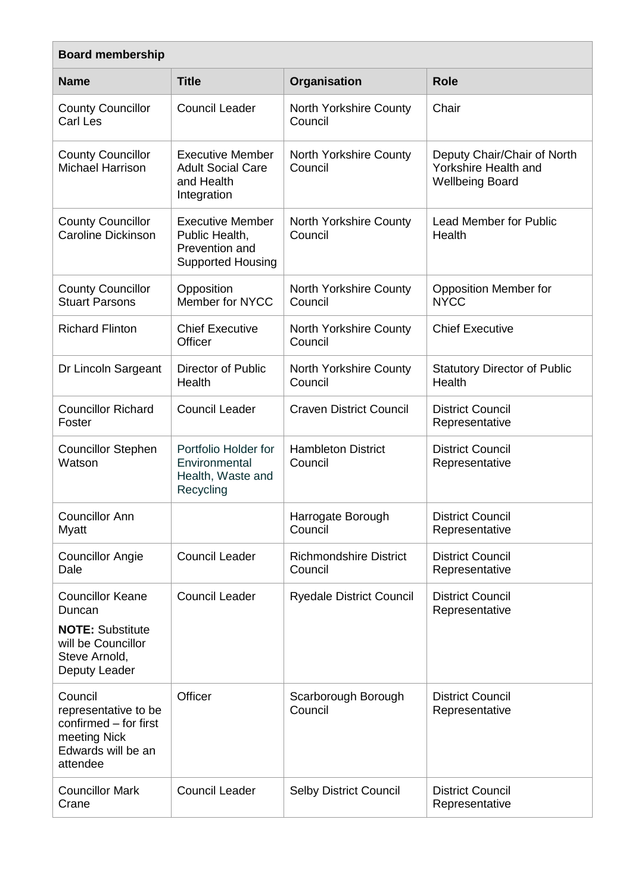| <b>Board membership</b>                                                                                              |                                                                                         |                                          |                                                                               |
|----------------------------------------------------------------------------------------------------------------------|-----------------------------------------------------------------------------------------|------------------------------------------|-------------------------------------------------------------------------------|
| <b>Name</b>                                                                                                          | <b>Title</b>                                                                            | Organisation                             | <b>Role</b>                                                                   |
| <b>County Councillor</b><br>Carl Les                                                                                 | <b>Council Leader</b>                                                                   | North Yorkshire County<br>Council        | Chair                                                                         |
| <b>County Councillor</b><br>Michael Harrison                                                                         | <b>Executive Member</b><br><b>Adult Social Care</b><br>and Health<br>Integration        | <b>North Yorkshire County</b><br>Council | Deputy Chair/Chair of North<br>Yorkshire Health and<br><b>Wellbeing Board</b> |
| <b>County Councillor</b><br><b>Caroline Dickinson</b>                                                                | <b>Executive Member</b><br>Public Health,<br>Prevention and<br><b>Supported Housing</b> | <b>North Yorkshire County</b><br>Council | <b>Lead Member for Public</b><br>Health                                       |
| <b>County Councillor</b><br><b>Stuart Parsons</b>                                                                    | Opposition<br>Member for NYCC                                                           | <b>North Yorkshire County</b><br>Council | <b>Opposition Member for</b><br><b>NYCC</b>                                   |
| <b>Richard Flinton</b>                                                                                               | <b>Chief Executive</b><br>Officer                                                       | North Yorkshire County<br>Council        | <b>Chief Executive</b>                                                        |
| Dr Lincoln Sargeant                                                                                                  | <b>Director of Public</b><br>Health                                                     | North Yorkshire County<br>Council        | <b>Statutory Director of Public</b><br>Health                                 |
| <b>Councillor Richard</b><br>Foster                                                                                  | <b>Council Leader</b>                                                                   | <b>Craven District Council</b>           | <b>District Council</b><br>Representative                                     |
| <b>Councillor Stephen</b><br>Watson                                                                                  | Portfolio Holder for<br>Environmental<br>Health, Waste and<br>Recycling                 | <b>Hambleton District</b><br>Council     | <b>District Council</b><br>Representative                                     |
| <b>Councillor Ann</b><br>Myatt                                                                                       |                                                                                         | Harrogate Borough<br>Council             | <b>District Council</b><br>Representative                                     |
| <b>Councillor Angie</b><br>Dale                                                                                      | <b>Council Leader</b>                                                                   | <b>Richmondshire District</b><br>Council | <b>District Council</b><br>Representative                                     |
| <b>Councillor Keane</b><br>Duncan<br><b>NOTE: Substitute</b><br>will be Councillor<br>Steve Arnold,<br>Deputy Leader | <b>Council Leader</b>                                                                   | <b>Ryedale District Council</b>          | <b>District Council</b><br>Representative                                     |
| Council<br>representative to be<br>confirmed - for first<br>meeting Nick<br>Edwards will be an<br>attendee           | Officer                                                                                 | Scarborough Borough<br>Council           | <b>District Council</b><br>Representative                                     |
| <b>Councillor Mark</b><br>Crane                                                                                      | <b>Council Leader</b>                                                                   | <b>Selby District Council</b>            | <b>District Council</b><br>Representative                                     |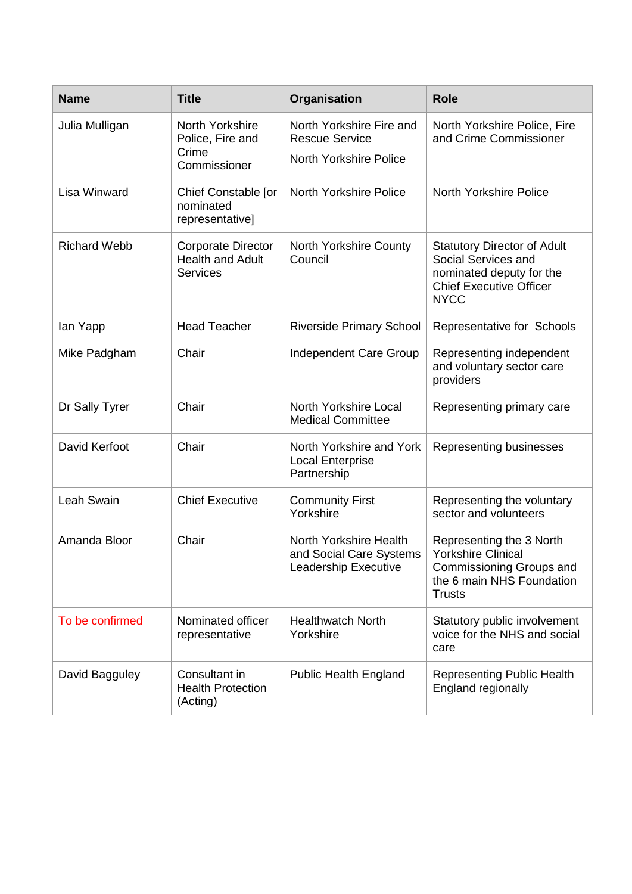| <b>Name</b>         | <b>Title</b>                                                            | Organisation                                                                                                                                 | <b>Role</b>                                                                                                                            |
|---------------------|-------------------------------------------------------------------------|----------------------------------------------------------------------------------------------------------------------------------------------|----------------------------------------------------------------------------------------------------------------------------------------|
| Julia Mulligan      | North Yorkshire<br>Police, Fire and<br>Crime<br>Commissioner            | North Yorkshire Fire and<br>North Yorkshire Police, Fire<br>and Crime Commissioner<br><b>Rescue Service</b><br><b>North Yorkshire Police</b> |                                                                                                                                        |
| Lisa Winward        | Chief Constable [or<br>nominated<br>representative]                     | <b>North Yorkshire Police</b>                                                                                                                | <b>North Yorkshire Police</b>                                                                                                          |
| <b>Richard Webb</b> | <b>Corporate Director</b><br><b>Health and Adult</b><br><b>Services</b> | <b>North Yorkshire County</b><br>Council                                                                                                     | <b>Statutory Director of Adult</b><br>Social Services and<br>nominated deputy for the<br><b>Chief Executive Officer</b><br><b>NYCC</b> |
| lan Yapp            | <b>Head Teacher</b>                                                     | <b>Riverside Primary School</b>                                                                                                              | Representative for Schools                                                                                                             |
| Mike Padgham        | Chair                                                                   | Independent Care Group                                                                                                                       | Representing independent<br>and voluntary sector care<br>providers                                                                     |
| Dr Sally Tyrer      | Chair                                                                   | North Yorkshire Local<br><b>Medical Committee</b>                                                                                            | Representing primary care                                                                                                              |
| David Kerfoot       | Chair                                                                   | North Yorkshire and York<br><b>Local Enterprise</b><br>Partnership                                                                           | Representing businesses                                                                                                                |
| Leah Swain          | <b>Chief Executive</b>                                                  | <b>Community First</b><br>Yorkshire                                                                                                          | Representing the voluntary<br>sector and volunteers                                                                                    |
| Amanda Bloor        | Chair                                                                   | North Yorkshire Health<br>and Social Care Systems<br>Leadership Executive                                                                    | Representing the 3 North<br><b>Yorkshire Clinical</b><br>Commissioning Groups and<br>the 6 main NHS Foundation<br><b>Trusts</b>        |
| To be confirmed     | Nominated officer<br>representative                                     | <b>Healthwatch North</b><br>Yorkshire                                                                                                        | Statutory public involvement<br>voice for the NHS and social<br>care                                                                   |
| David Bagguley      | Consultant in<br><b>Health Protection</b><br>(Acting)                   | <b>Public Health England</b>                                                                                                                 | <b>Representing Public Health</b><br>England regionally                                                                                |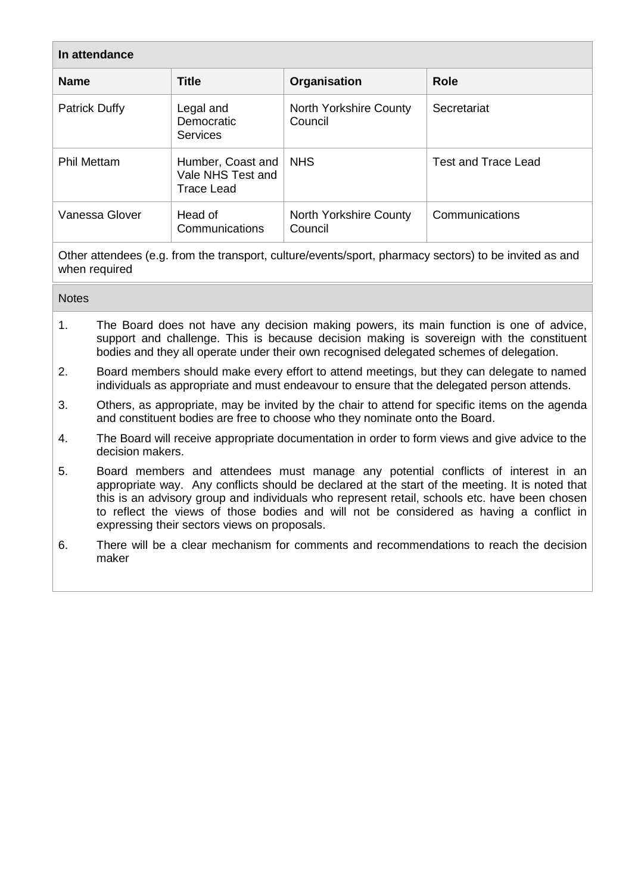| In attendance        |                                                             |                                   |                            |
|----------------------|-------------------------------------------------------------|-----------------------------------|----------------------------|
| <b>Name</b>          | <b>Title</b>                                                | Organisation                      | <b>Role</b>                |
| <b>Patrick Duffy</b> | Legal and<br>Democratic<br><b>Services</b>                  | North Yorkshire County<br>Council | Secretariat                |
| <b>Phil Mettam</b>   | Humber, Coast and<br>Vale NHS Test and<br><b>Trace Lead</b> | <b>NHS</b>                        | <b>Test and Trace Lead</b> |
| Vanessa Glover       | Head of<br>Communications                                   | North Yorkshire County<br>Council | Communications             |

Other attendees (e.g. from the transport, culture/events/sport, pharmacy sectors) to be invited as and when required

| <b>Notes</b> |
|--------------|
|--------------|

- 1. The Board does not have any decision making powers, its main function is one of advice, support and challenge. This is because decision making is sovereign with the constituent bodies and they all operate under their own recognised delegated schemes of delegation.
- 2. Board members should make every effort to attend meetings, but they can delegate to named individuals as appropriate and must endeavour to ensure that the delegated person attends.
- 3. Others, as appropriate, may be invited by the chair to attend for specific items on the agenda and constituent bodies are free to choose who they nominate onto the Board.
- 4. The Board will receive appropriate documentation in order to form views and give advice to the decision makers.
- 5. Board members and attendees must manage any potential conflicts of interest in an appropriate way. Any conflicts should be declared at the start of the meeting. It is noted that this is an advisory group and individuals who represent retail, schools etc. have been chosen to reflect the views of those bodies and will not be considered as having a conflict in expressing their sectors views on proposals.
- 6. There will be a clear mechanism for comments and recommendations to reach the decision maker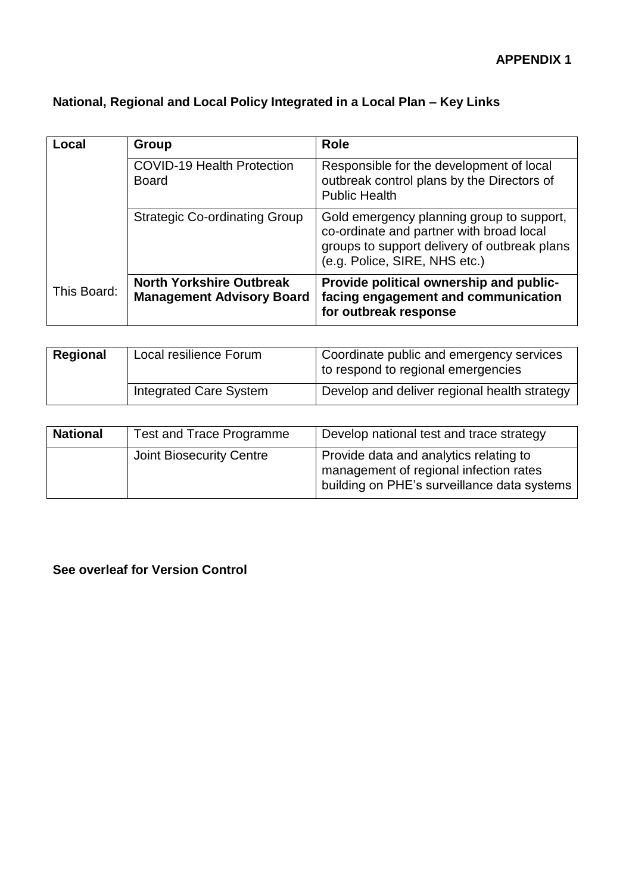## **National, Regional and Local Policy Integrated in a Local Plan – Key Links**

| Local       | Group                                                               | <b>Role</b>                                                                                                                                                            |
|-------------|---------------------------------------------------------------------|------------------------------------------------------------------------------------------------------------------------------------------------------------------------|
|             | <b>COVID-19 Health Protection</b><br><b>Board</b>                   | Responsible for the development of local<br>outbreak control plans by the Directors of<br><b>Public Health</b>                                                         |
|             | <b>Strategic Co-ordinating Group</b>                                | Gold emergency planning group to support,<br>co-ordinate and partner with broad local<br>groups to support delivery of outbreak plans<br>(e.g. Police, SIRE, NHS etc.) |
| This Board: | <b>North Yorkshire Outbreak</b><br><b>Management Advisory Board</b> | Provide political ownership and public-<br>facing engagement and communication<br>for outbreak response                                                                |

| Regional | Local resilience Forum | Coordinate public and emergency services<br>to respond to regional emergencies |
|----------|------------------------|--------------------------------------------------------------------------------|
|          | Integrated Care System | Develop and deliver regional health strategy                                   |

| <b>National</b> | Test and Trace Programme | Develop national test and trace strategy                                                                                        |
|-----------------|--------------------------|---------------------------------------------------------------------------------------------------------------------------------|
|                 | Joint Biosecurity Centre | Provide data and analytics relating to<br>management of regional infection rates<br>building on PHE's surveillance data systems |

**See overleaf for Version Control**